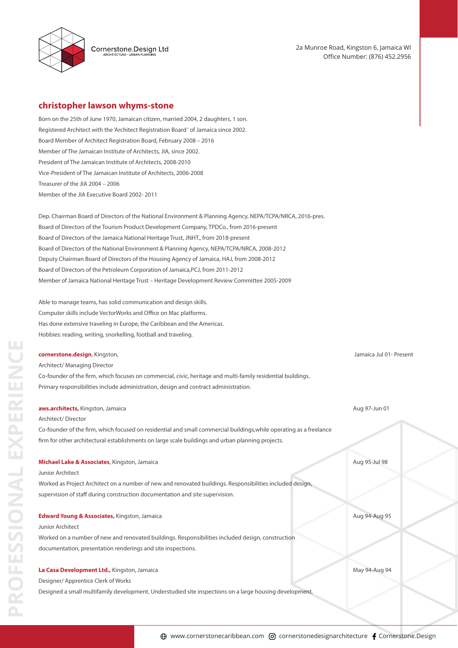

Cornerstone.Design Ltd

2a Munroe Road, Kingston 6, Jamaica WI Office Number: (876) 452.2956

# **christopher lawson whyms-stone**

Born on the 25th of June 1970, Jamaican citizen, married 2004, 2 daughters, 1 son. Registered Architect with the 'Architect Registration Board ' of Jamaica since 2002. Board Member of Architect Registration Board, February 2008 – 2016 Member of The Jamaican Institute of Architects, JIA, since 2002. President of The Jamaican Institute of Architects, 2008-2010 Vice-President of The Jamaican Institute of Architects, 2006-2008 Treasurer of the JIA 2004 – 2006 Member of the JIA Executive Board 2002- 2011

Dep. Chairman Board of Directors of the National Environment & Planning Agency, NEPA/TCPA/NRCA, 2016-pres. Board of Directors of the Tourism Product Development Company, TPDCo., from 2016-present Board of Directors of the Jamaica National Heritage Trust, JNHT., from 2018-present Board of Directors of the National Environment & Planning Agency, NEPA/TCPA/NRCA, 2008-2012 Deputy Chairman Board of Directors of the Housing Agency of Jamaica, HAJ, from 2008-2012 Board of Directors of the Petroleum Corporation of Jamaica,PCJ, from 2011-2012 Member of Jamaica National Heritage Trust – Heritage Development Review Committee 2005-2009

Able to manage teams, has solid communication and design skills. Computer skills include VectorWorks and Office on Mac platforms. Has done extensive traveling in Europe, the Caribbean and the Americas. Hobbies: reading, writing, snorkelling, football and traveling.

#### **cornerstone.design**, Kingston, Jamaica Jul 01- Present

Architect/ Managing Director Co-founder of the firm, which focuses on commercial, civic, heritage and multi-family residential buildings. Primary responsibilities include administration, design and contract administration.

### **aws.architects,** Kingston, Jamaica Aug 97-Jun 01

#### Architect/ Director

Co-founder of the firm, which focused on residential and small commercial buildings, while operating as a freelance firm for other architectural establishments on large scale buildings and urban planning projects.

#### **Michael Lake & Associates**, Kingston, Jamaica Aug 95-Jul 98

### Junior Architect

**PROFESSIONAL EXPERIENCE**

PROFESSIONAL EXPERIEN

Worked as Project Architect on a number of new and renovated buildings. Responsibilities included design, supervision of staff during construction documentation and site supervision.

### **Edward Young & Associates,** Kingston, Jamaica Aug 95 and Aug 95 and Aug 94-Aug 95

### Junior Architect

Worked on a number of new and renovated buildings. Responsibilities included design, construction documentation, presentation renderings and site inspections.

# **La Casa Development Ltd.,** Kingston, Jamaica May 94-Aug 94-Aug 94-Aug 94-Aug 94-Aug 94-Aug 94-Aug 94-Aug 94-Aug 94-Aug 94-Aug 94-Aug 94-Aug 94-Aug 94-Aug 94-Aug 94-Aug 94-Aug 94-Aug 94-Aug 94-Aug 94-Aug 94-Aug 94-Aug 94-A

Designer/ Apprentice Clerk of Works

Designed a small multifamily development. Understudied site inspections on a large housing development.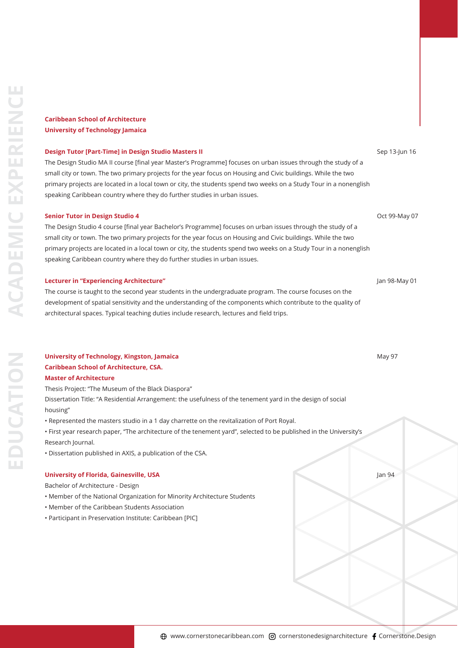# **Caribbean School of Architecture University of Technology Jamaica**

### **Design Tutor [Part-Time] in Design Studio Masters II** Sep 13-Jun 16

The Design Studio MA II course [final year Master's Programme] focuses on urban issues through the study of a small city or town. The two primary projects for the year focus on Housing and Civic buildings. While the two primary projects are located in a local town or city, the students spend two weeks on a Study Tour in a nonenglish speaking Caribbean country where they do further studies in urban issues.

### **Senior Tutor in Design Studio 4** Oct 99-May 07

The Design Studio 4 course [final year Bachelor's Programme] focuses on urban issues through the study of a small city or town. The two primary projects for the year focus on Housing and Civic buildings. While the two primary projects are located in a local town or city, the students spend two weeks on a Study Tour in a nonenglish speaking Caribbean country where they do further studies in urban issues.

### **Lecturer in "Experiencing Architecture"** Jan 98-May 01

The course is taught to the second year students in the undergraduate program. The course focuses on the development of spatial sensitivity and the understanding of the components which contribute to the quality of architectural spaces. Typical teaching duties include research, lectures and field trips.

# **University of Technology, Kingston, Jamaica** *May 97* **(1996) 1996 (1997) 1997 (1998) 1998 (1998) 1998 (1998) 1998 Caribbean School of Architecture, CSA. Master of Architecture**

Thesis Project: "The Museum of the Black Diaspora" Dissertation Title: "A Residential Arrangement: the usefulness of the tenement yard in the design of social

## housing"

• Represented the masters studio in a 1 day charrette on the revitalization of Port Royal.

• First year research paper, "The architecture of the tenement yard", selected to be published in the University's Research Journal.

• Dissertation published in AXIS, a publication of the CSA.

# **University of Florida, Gainesville, USA** Jan 94

## Bachelor of Architecture - Design

- Member of the National Organization for Minority Architecture Students
- Member of the Caribbean Students Association
- Participant in Preservation Institute: Caribbean [PIC]